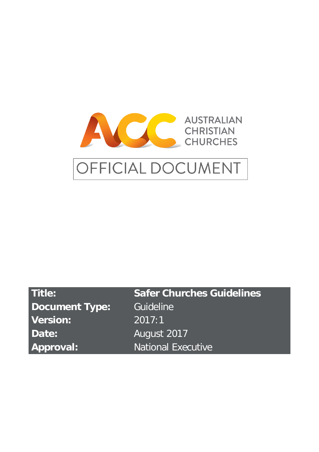

# OFFICIAL DOCUMENT

| Title:                | <b>Safer Churches Guidelines</b> |
|-----------------------|----------------------------------|
| <b>Document Type:</b> | Guideline                        |
| <b>Version:</b>       | 2017:1                           |
| Date:                 | August 2017                      |
| Approval:             | <b>National Executive</b>        |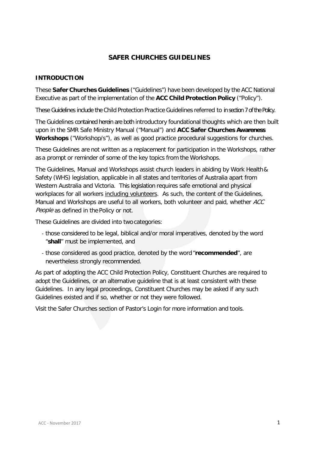# **SAFER CHURCHES GUIDELINES**

## **INTRODUCTION**

These **Safer Churches Guidelines** ("Guidelines") have been developed by the ACC National Executive as part of the implementation of the **ACC Child Protection Policy** ("Policy").

These Guidelines include the Child Protection Practice Guidelines referred to in section 7 of the Policy.

The Guidelines contained herein are both introductory foundational thoughts which are then built upon in the SMR Safe Ministry Manual ("Manual") and **ACC Safer Churches Awareness Workshops** ("Workshop/s"), as well as good practice procedural suggestions for churches.

These Guidelines are not written as a replacement for participation in the Workshops, rather as a prompt or reminder of some of the key topics from the Workshops.

The Guidelines, Manual and Workshops assist church leaders in abiding by Work Health& Safety (WHS) legislation, applicable in all states and territories of Australia apart from Western Australia and Victoria. This legislation requires safe emotional and physical workplaces for all workers including volunteers. As such, the content of the Guidelines, Manual and Workshops are useful to all workers, both volunteer and paid, whether ACC People as defined in the Policy or not.

These Guidelines are divided into two categories:

- those considered to be legal, biblical and/or moral imperatives, denoted by the word "**shall**" must be implemented, and
- those considered as good practice, denoted by the word "**recommended**", are nevertheless strongly recommended.

As part of adopting the ACC Child Protection Policy, Constituent Churches are required to adopt the Guidelines, or an alternative guideline that is at least consistent with these Guidelines. In any legal proceedings, Constituent Churches may be asked if any such Guidelines existed and if so, whether or not they were followed.

Visit the Safer Churches section of Pastor's Login for more information and tools.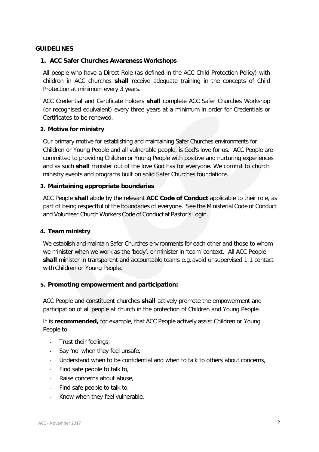## **GUIDELINES**

## **1. ACC Safer Churches Awareness Workshops**

All people who have a Direct Role (as defined in the ACC Child Protection Policy) with children in ACC churches **shall** receive adequate training in the concepts of Child Protection at minimum every 3 years.

ACC Credential and Certificate holders **shall** complete ACC Safer Churches Workshop (or recognised equivalent) every three years at a minimum in order for Credentials or Certificates to be renewed.

## **2. Motive for ministry**

Our primary motive for establishing and maintaining Safer Churches environments for Children or Young People and all vulnerable people, is God's love for us. ACC People are committed to providing Children or Young People with positive and nurturing experiences and as such **shall** minister out of the love God has for everyone. We commit to church ministry events and programs built on solid Safer Churches foundations.

## **3. Maintaining appropriate boundaries**

ACC People **shall** abide by the relevant **ACC Code of Conduct** applicable to their role, as part of being respectful of the boundaries of everyone. See the Ministerial Code of Conduct and Volunteer Church Workers Code of Conduct at Pastor's Login.

## **4. Team ministry**

We establish and maintain Safer Churches environments for each other and those to whom we minister when we work as the 'body', or minister in 'team' context. All ACC People shall minister in transparent and accountable teams e.g. avoid unsupervised 1:1 contact with Children or Young People.

## **5. Promoting empowerment and participation:**

ACC People and constituent churches **shall** actively promote the empowerment and participation of all people at church in the protection of Children and Young People.

It is **recommended,** for example, that ACC People actively assist Children or Young People to

- Trust their feelings,
- Say 'no' when they feel unsafe,
- Understand when to be confidential and when to talk to others about concerns,
- Find safe people to talk to,
- Raise concerns about abuse,
- Find safe people to talk to,
- Know when they feel vulnerable.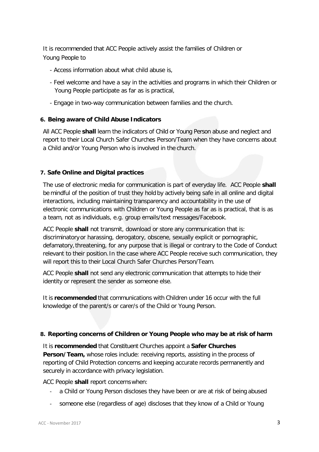It is recommended that ACC People actively assist the families of Children or Young People to

- Access information about what child abuse is,
- Feel welcome and have a say in the activities and programs in which their Children or Young People participate as far as is practical,
- Engage in two-way communication between families and the church.

## **6. Being aware of Child Abuse Indicators**

All ACC People **shall** learn the indicators of Child or Young Person abuse and neglect and report to their Local Church Safer Churches Person/Team when they have concerns about a Child and/or Young Person who is involved in the church.

## **7. Safe Online and Digital practices**

The use of electronic media for communication is part of everyday life. ACC People **shall** be mindful of the position of trust they hold by actively being safe in all online and digital interactions, including maintaining transparency and accountability in the use of electronic communications with Children or Young People as far as is practical, that is as a team, not as individuals, e.g. group emails/text messages/Facebook.

ACC People **shall** not transmit, download or store any communication that is: discriminatory or harassing, derogatory, obscene, sexually explicit or pornographic, defamatory,threatening, for any purpose that is illegal or contrary to the Code of Conduct relevant to their position. In the case where ACC People receive such communication, they will report this to their Local Church Safer Churches Person/Team.

ACC People **shall** not send any electronic communication that attempts to hide their identity or represent the sender as someone else.

It is **recommended** that communications with Children under 16 occur with the full knowledge of the parent/s or carer/s of the Child or Young Person.

## **8. Reporting concerns of Children or Young People who may be at risk of harm**

It is **recommended** that Constituent Churches appoint a **Safer Churches Person/Team,** whose roles include: receiving reports, assisting in the process of reporting of Child Protection concerns and keeping accurate records permanently and securely in accordance with privacy legislation.

ACC People **shall** report concernswhen:

- a Child or Young Person discloses they have been or are at risk of being abused
- someone else (regardless of age) discloses that they know of a Child or Young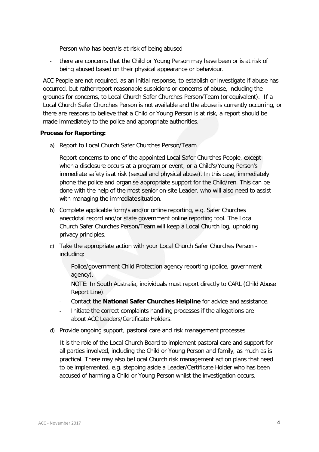Person who has been/is at risk of being abused

- there are concerns that the Child or Young Person may have been or is at risk of being abused based on their physical appearance or behaviour.

ACC People are not required, as an initial response, to establish or investigate if abuse has occurred, but ratherreport reasonable suspicions or concerns of abuse, including the grounds for concerns, to Local Church Safer Churches Person/Team (or equivalent). If a Local Church Safer Churches Person is not available and the abuse is currently occurring, or there are reasons to believe that a Child or Young Person is at risk, a report should be made immediately to the police and appropriate authorities.

## **Process for Reporting:**

a) Report to Local Church Safer Churches Person/Team

Report concerns to one of the appointed Local Safer Churches People, except when a disclosure occurs at a program or event, or a Child's/Young Person's immediate safety isat risk (sexual and physical abuse). In this case, immediately phone the police and organise appropriate support for the Child/ren. This can be done with the help of the most senior on-site Leader, who will also need to assist with managing the immediatesituation.

- b) Complete applicable form/s and/or online reporting, e.g. Safer Churches anecdotal record and/or state government online reporting tool. The Local Church Safer Churches Person/Team will keep a Local Church log, upholding privacy principles.
- c) Take the appropriate action with your Local Church Safer Churches Person including:
	- Police/government Child Protection agency reporting (police, government agency).

NOTE: In South Australia, individuals must report directly to CARL (Child Abuse Report Line).

- Contact the **National Safer Churches Helpline** for advice and assistance.
- Initiate the correct complaints handling processes if the allegations are about ACC Leaders/Certificate Holders.
- d) Provide ongoing support, pastoral care and risk management processes

It is the role of the Local Church Board to implement pastoral care and support for all parties involved, including the Child or Young Person and family, as much as is practical. There may also be Local Church risk management action plans that need to be implemented, e.g. stepping aside a Leader/Certificate Holder who has been accused of harming a Child or Young Person whilst the investigation occurs.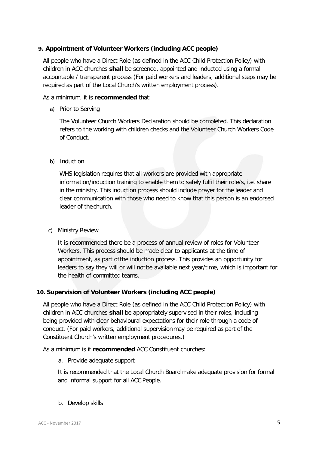## **9. Appointment of Volunteer Workers (including ACC people)**

All people who have a Direct Role (as defined in the ACC Child Protection Policy) with children in ACC churches **shall** be screened, appointed and inducted using a formal accountable / transparent process (For paid workers and leaders, additional steps may be required as part of the Local Church's written employment process).

## As a minimum, it is **recommended** that:

a) Prior to Serving

The Volunteer Church Workers Declaration should be completed. This declaration refers to the working with children checks and the Volunteer Church Workers Code of Conduct.

## b) Induction

WHS legislation requires that all workers are provided with appropriate information/induction training to enable them to safely fulfil their role/s, i.e. share in the ministry. This induction process should include prayer for the leader and clear communication with those who need to know that this person is an endorsed leader of thechurch.

c) Ministry Review

It is recommended there be a process of annual review of roles for Volunteer Workers. This process should be made clear to applicants at the time of appointment, as part ofthe induction process. This provides an opportunity for leaders to say they will or will notbe available next year/time, which is important for the health of committed teams.

# **10. Supervision of Volunteer Workers (including ACC people)**

All people who have a Direct Role (as defined in the ACC Child Protection Policy) with children in ACC churches **shall** be appropriately supervised in their roles, including being provided with clear behavioural expectations for their role through a code of conduct. (For paid workers, additional supervisionmay be required as part of the Constituent Church's written employment procedures.)

As a minimum is it **recommended** ACC Constituent churches:

a. Provide adequate support

It is recommended that the Local Church Board make adequate provision for formal and informal support for all ACC People.

b. Develop skills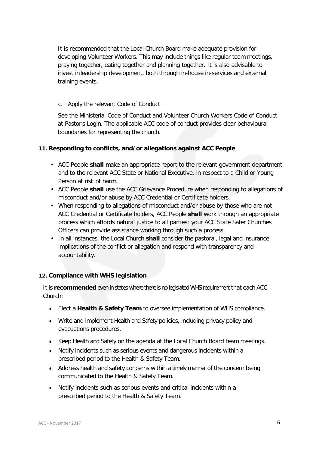It is recommended that the Local Church Board make adequate provision for developing Volunteer Workers. This may include things like regular team meetings, praying together, eating together and planning together. It is also advisable to invest inleadership development, both through in-house in-services and external training events.

# c. Apply the relevant Code of Conduct

See the Ministerial Code of Conduct and Volunteer Church Workers Code of Conduct at Pastor's Login. The applicable ACC code of conduct provides clear behavioural boundaries for representing the church.

# **11. Responding to conflicts, and/or allegations against ACC People**

- ACC People **shall** make an appropriate report to the relevant government department and to the relevant ACC State or National Executive, in respect to a Child or Young Person at risk of harm.
- ACC People **shall** use the ACC Grievance Procedure when responding to allegations of misconduct and/or abuse by ACC Credential or Certificate holders.
- When responding to allegations of misconduct and/or abuse by those who are not ACC Credential or Certificate holders, ACC People **shall** work through an appropriate process which affords natural justice to all parties; your ACC State Safer Churches Officers can provide assistance working through such a process.
- In all instances, the Local Church **shall** consider the pastoral, legal and insurance implications of the conflict or allegation and respond with transparency and accountability.

# **12. Compliance with WHS legislation**

It is **recommended** even in states where there is no legislated WHS requirement that each ACC Church:

- Elect a **Health & Safety Team** to oversee implementation of WHS compliance.
- Write and implement Health and Safety policies, including privacy policy and evacuations procedures.
- Keep Health and Safety on the agenda at the Local Church Board team meetings.
- Notify incidents such as serious events and dangerous incidents within a prescribed period to the Health & Safety Team.
- Address health and safety concerns within a timely manner of the concern being communicated to the Health & Safety Team.
- Notify incidents such as serious events and critical incidents within a prescribed period to the Health & Safety Team.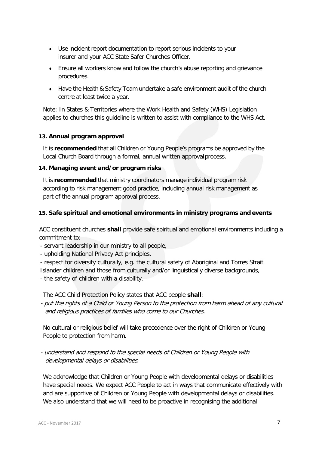- Use incident report documentation to report serious incidents to your insurer and your ACC State Safer Churches Officer.
- Ensure all workers know and follow the church's abuse reporting and grievance procedures.
- Have the Health & Safety Team undertake a safe environment audit of the church centre at least twice a year.

Note: In States & Territories where the Work Health and Safety (WHS) Legislation applies to churches this guideline is written to assist with compliance to the WHS Act.

# **13. Annual program approval**

It is **recommended** that all Children or Young People's programs be approved by the Local Church Board through a formal, annual written approvalprocess.

## **14. Managing event and/or program risks**

It is **recommended** that ministry coordinators manage individual program risk according to risk management good practice, including annual risk management as part of the annual program approval process.

# **15. Safe spiritual and emotional environments in ministry programs and events**

ACC constituent churches **shall** provide safe spiritual and emotional environments including a commitment to:

- servant leadership in our ministry to all people,
- upholding National Privacy Act principles,

- respect for diversity culturally, e.g. the cultural safety of Aboriginal and Torres Strait Islander children and those from culturally and/or linguistically diverse backgrounds,

- the safety of children with a disability.

The ACC Child Protection Policy states that ACC people **shall**:

- put the rights of a Child or Young Person to the protection from harm ahead of any cultural and religious practices of families who come to our Churches.

No cultural or religious belief will take precedence over the right of Children or Young People to protection from harm.

- understand and respond to the special needs of Children or Young People with developmental delays or disabilities.

We acknowledge that Children or Young People with developmental delays or disabilities have special needs. We expect ACC People to act in ways that communicate effectively with and are supportive of Children or Young People with developmental delays or disabilities. We also understand that we will need to be proactive in recognising the additional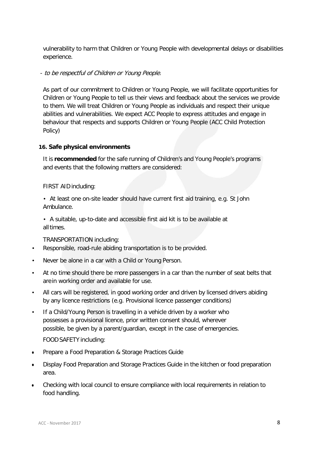vulnerability to harm that Children or Young People with developmental delays or disabilities experience.

## - to be respectful of Children or Young People.

As part of our commitment to Children or Young People, we will facilitate opportunities for Children or Young People to tell us their views and feedback about the services we provide to them. We will treat Children or Young People as individuals and respect their unique abilities and vulnerabilities. We expect ACC People to express attitudes and engage in behaviour that respects and supports Children or Young People (ACC Child Protection Policy)

## **16. Safe physical environments**

It is **recommended** for the safe running of Children's and Young People's programs and events that the following matters are considered:

## FIRST AID including:

• At least one on-site leader should have current first aid training, e.g. St John Ambulance.

• A suitable, up-to-date and accessible first aid kit is to be available at alltimes.

## TRANSPORTATION including:

- Responsible, road-rule abiding transportation is to be provided.
- Never be alone in a car with a Child or Young Person.
- At no time should there be more passengers in a car than the number of seat belts that arein working order and available for use.
- All cars will be registered, in good working order and driven by licensed drivers abiding by any licence restrictions (e.g. Provisional licence passenger conditions)
- If a Child/Young Person is travelling in a vehicle driven by a worker who possesses a provisional licence, prior written consent should, wherever possible, be given by a parent/guardian, except in the case of emergencies.

## FOOD SAFETY including:

- Prepare a Food Preparation & Storage Practices Guide
- Display Food Preparation and Storage Practices Guide in the kitchen or food preparation area.
- Checking with local council to ensure compliance with local requirements in relation to food handling.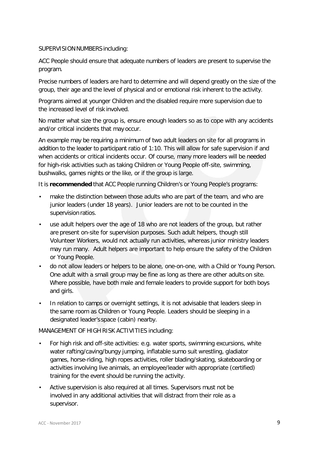## SUPERVISION NUMBERS including:

ACC People should ensure that adequate numbers of leaders are present to supervise the program.

Precise numbers of leaders are hard to determine and will depend greatly on the size of the group, their age and the level of physical and or emotional risk inherent to the activity.

Programs aimed at younger Children and the disabled require more supervision due to the increased level of risk involved.

No matter what size the group is, ensure enough leaders so as to cope with any accidents and/or critical incidents that may occur.

An example may be requiring a minimum of two adult leaders on site for all programs in addition to the leader to participant ratio of 1:10. This will allow for safe supervision if and when accidents or critical incidents occur. Of course, many more leaders will be needed for high-risk activities such as taking Children or Young People off-site, swimming, bushwalks, games nights or the like, or if the group is large.

It is **recommended** that ACC People running Children's or Young People's programs:

- make the distinction between those adults who are part of the team, and who are junior leaders (under 18 years). Junior leaders are not to be counted in the supervision ratios.
- use adult helpers over the age of 18 who are not leaders of the group, but rather are present on-site for supervision purposes. Such adult helpers, though still Volunteer Workers, would not actually run activities, whereas junior ministry leaders may run many. Adult helpers are important to help ensure the safety of the Children or Young People.
- do not allow leaders or helpers to be alone, one-on-one, with a Child or Young Person. One adult with a small group may be fine as long as there are other adults on site. Where possible, have both male and female leaders to provide support for both boys and girls.
- In relation to camps or overnight settings, it is not advisable that leaders sleep in the same room as Children or Young People. Leaders should be sleeping in a designated leader's space (cabin) nearby.

MANAGEMENT OF HIGH RISK ACTIVITIES including:

- For high risk and off-site activities: e.g. water sports, swimming excursions, white water rafting/caving/bungy jumping, inflatable sumo suit wrestling, gladiator games, horse-riding, high ropes activities, roller blading/skating, skateboarding or activities involving live animals, an employee/leader with appropriate (certified) training for the event should be running the activity.
- Active supervision is also required at all times. Supervisors must not be involved in any additional activities that will distract from their role as a supervisor.